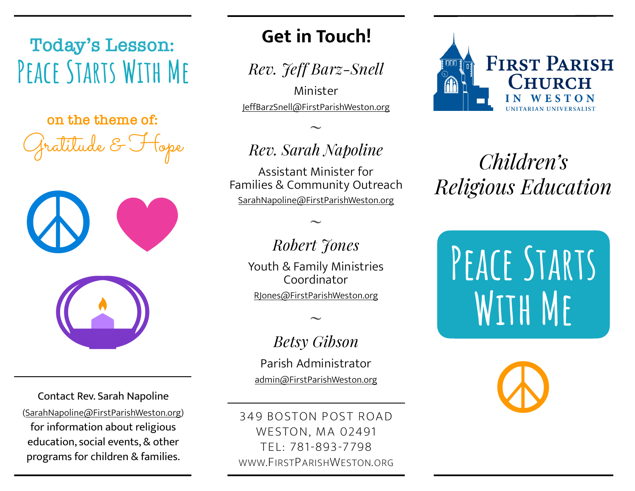# **Today's Lesson: Peace Starts With Me**

Gratitude & Hope **on the theme of:**



Contact Rev. Sarah Napoline ([SarahNapoline@FirstParishWeston.org\)](mailto:SarahNapoline@FirstParishWeston.org) for information about religious education, social events, & other programs for children & families.

## **Get in Touch!**

*Rev. Jeff Barz-Snell*

Minister [JeffBarzSnell@FirstParishWeston.org](mailto:JeffBarzSnell@FirstParishWeston.org)

# *Rev. Sarah Napoline*

 $\ddot{\phantom{0}}$ 

Assistant Minister for Families & Community Outreach [SarahNapoline@FirstParishWeston.org](mailto:SarahNapoline@FirstParishWeston.org)

### *Robert Jones*

 $\ddot{\phantom{0}}$ 

Youth & Family Ministries Coordinator [RJones@FirstParishWeston.org](mailto:RJones@FirstParishWeston.org)

 $\ddot{\phantom{0}}$ 

#### *Betsy Gibson*

Parish Administrator [admin@FirstParishWeston.org](mailto:admin@FirstParishWeston.org)

349 BOSTON POST ROAD WESTON, MA 02491 TEL: 781-893-7798 WWW.FIRSTPARISHWESTON.ORG



*Children's Religious Education*

PEACE STARTS **With Me**

**☮**